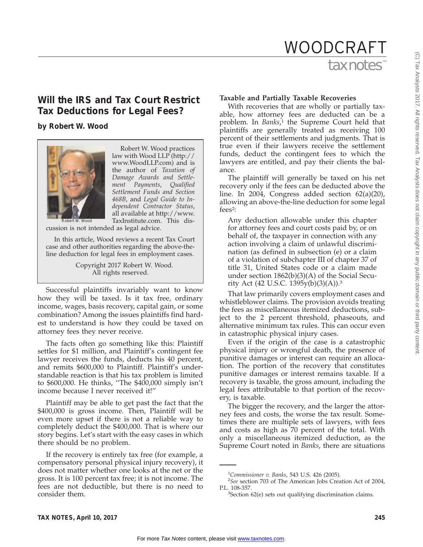# tax notes WOODCRAFT

# **Will the IRS and Tax Court Restrict Tax Deductions for Legal Fees?**

# **by Robert W. Wood**



Robert W. Wood practices law with Wood LLP (http:// www.WoodLLP.com) and is the author of *Taxation of Damage Awards and Settlement Payments*, *Qualified Settlement Funds and Section 468B*, and *Legal Guide to Independent Contractor Status*, all available at http://www. TaxInstitute.com. This dis-

cussion is not intended as legal advice.

In this article, Wood reviews a recent Tax Court case and other authorities regarding the above-theline deduction for legal fees in employment cases.

> Copyright 2017 Robert W. Wood. All rights reserved.

Successful plaintiffs invariably want to know how they will be taxed. Is it tax free, ordinary income, wages, basis recovery, capital gain, or some combination? Among the issues plaintiffs find hardest to understand is how they could be taxed on attorney fees they never receive.

The facts often go something like this: Plaintiff settles for \$1 million, and Plaintiff's contingent fee lawyer receives the funds, deducts his 40 percent, and remits \$600,000 to Plaintiff. Plaintiff's understandable reaction is that his tax problem is limited to \$600,000. He thinks, ''The \$400,000 simply isn't income because I never received it!''

Plaintiff may be able to get past the fact that the \$400,000 is gross income. Then, Plaintiff will be even more upset if there is not a reliable way to completely deduct the \$400,000. That is where our story begins. Let's start with the easy cases in which there should be no problem.

If the recovery is entirely tax free (for example, a compensatory personal physical injury recovery), it does not matter whether one looks at the net or the gross. It is 100 percent tax free; it is not income. The fees are not deductible, but there is no need to consider them.

## **Taxable and Partially Taxable Recoveries**

With recoveries that are wholly or partially taxable, how attorney fees are deducted can be a problem. In *Banks*, <sup>1</sup> the Supreme Court held that plaintiffs are generally treated as receiving 100 percent of their settlements and judgments. That is true even if their lawyers receive the settlement funds, deduct the contingent fees to which the lawyers are entitled, and pay their clients the balance.

The plaintiff will generally be taxed on his net recovery only if the fees can be deducted above the line. In 2004, Congress added section 62(a)(20), allowing an above-the-line deduction for some legal fees2:

Any deduction allowable under this chapter for attorney fees and court costs paid by, or on behalf of, the taxpayer in connection with any action involving a claim of unlawful discrimination (as defined in subsection (e) or a claim of a violation of subchapter III of chapter 37 of title 31, United States code or a claim made under section 1862(b)(3)(A) of the Social Security Act (42 U.S.C. 1395y(b)(3)(A)).3

That law primarily covers employment cases and whistleblower claims. The provision avoids treating the fees as miscellaneous itemized deductions, subject to the 2 percent threshold, phaseouts, and alternative minimum tax rules. This can occur even in catastrophic physical injury cases.

Even if the origin of the case is a catastrophic physical injury or wrongful death, the presence of punitive damages or interest can require an allocation. The portion of the recovery that constitutes punitive damages or interest remains taxable. If a recovery is taxable, the gross amount, including the legal fees attributable to that portion of the recovery, is taxable.

The bigger the recovery, and the larger the attorney fees and costs, the worse the tax result. Sometimes there are multiple sets of lawyers, with fees and costs as high as 70 percent of the total. With only a miscellaneous itemized deduction, as the Supreme Court noted in *Banks*, there are situations

<sup>&</sup>lt;sup>1</sup>Commissioner v. Banks, 543 U.S. 426 (2005).<br><sup>2</sup>See soction 703 of The American Jobs Croa

<sup>&</sup>lt;sup>2</sup>See section 703 of The American Jobs Creation Act of 2004, P.L. 108-357.

 ${}^{3}$ Section 62(e) sets out qualifying discrimination claims.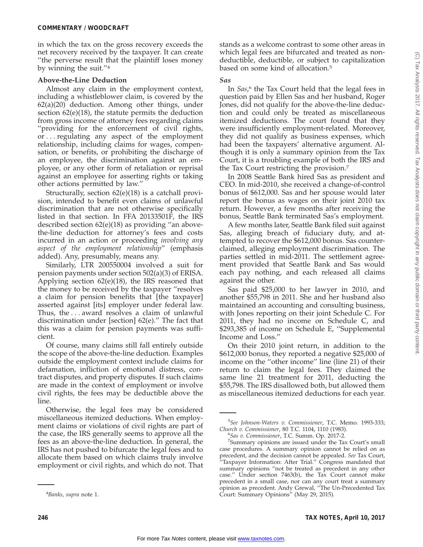(C) Tax Analysts 2017. All rights reserved. Tax Analysts does not claim copyright in any public domain or third party content.C) Tax Analysts 2017. All rights reserved. Tax Analysts does not claim copyright in any public domain or third party content

in which the tax on the gross recovery exceeds the net recovery received by the taxpayer. It can create ''the perverse result that the plaintiff loses money by winning the suit.''4

#### **Above-the-Line Deduction**

Almost any claim in the employment context, including a whistleblower claim, is covered by the 62(a)(20) deduction. Among other things, under section 62(e)(18), the statute permits the deduction from gross income of attorney fees regarding claims ''providing for the enforcement of civil rights, or . . . regulating any aspect of the employment relationship, including claims for wages, compensation, or benefits, or prohibiting the discharge of an employee, the discrimination against an employee, or any other form of retaliation or reprisal against an employee for asserting rights or taking other actions permitted by law.''

Structurally, section 62(e)(18) is a catchall provision, intended to benefit even claims of unlawful discrimination that are not otherwise specifically listed in that section. In FFA 20133501F, the IRS described section 62(e)(18) as providing ''an abovethe-line deduction for attorney's fees and costs incurred in an action or proceeding *involving any aspect of the employment relationship*'' (emphasis added). Any, presumably, means any.

Similarly, LTR 200550004 involved a suit for pension payments under section 502(a)(3) of ERISA. Applying section 62(e)(18), the IRS reasoned that the money to be received by the taxpayer ''resolves a claim for pension benefits that [the taxpayer] asserted against [its] employer under federal law. Thus, the... award resolves a claim of unlawful discrimination under [section] 62(e).'' The fact that this was a claim for pension payments was sufficient.

Of course, many claims still fall entirely outside the scope of the above-the-line deduction. Examples outside the employment context include claims for defamation, infliction of emotional distress, contract disputes, and property disputes. If such claims are made in the context of employment or involve civil rights, the fees may be deductible above the line.

Otherwise, the legal fees may be considered miscellaneous itemized deductions. When employment claims or violations of civil rights are part of the case, the IRS generally seems to approve all the fees as an above-the-line deduction. In general, the IRS has not pushed to bifurcate the legal fees and to allocate them based on which claims truly involve employment or civil rights, and which do not. That stands as a welcome contrast to some other areas in which legal fees are bifurcated and treated as nondeductible, deductible, or subject to capitalization based on some kind of allocation.5

#### *Sas*

In *Sas*, <sup>6</sup> the Tax Court held that the legal fees in question paid by Ellen Sas and her husband, Roger Jones, did not qualify for the above-the-line deduction and could only be treated as miscellaneous itemized deductions. The court found that they were insufficiently employment-related. Moreover, they did not qualify as business expenses, which had been the taxpayers' alternative argument. Although it is only a summary opinion from the Tax Court, it is a troubling example of both the IRS and the Tax Court restricting the provision.7

In 2008 Seattle Bank hired Sas as president and CEO. In mid-2010, she received a change-of-control bonus of \$612,000. Sas and her spouse would later report the bonus as wages on their joint 2010 tax return. However, a few months after receiving the bonus, Seattle Bank terminated Sas's employment.

A few months later, Seattle Bank filed suit against Sas, alleging breach of fiduciary duty, and attempted to recover the \$612,000 bonus. Sas counterclaimed, alleging employment discrimination. The parties settled in mid-2011. The settlement agreement provided that Seattle Bank and Sas would each pay nothing, and each released all claims against the other.

Sas paid \$25,000 to her lawyer in 2010, and another \$55,798 in 2011. She and her husband also maintained an accounting and consulting business, with Jones reporting on their joint Schedule C. For 2011, they had no income on Schedule C, and \$293,385 of income on Schedule E, ''Supplemental Income and Loss.''

On their 2010 joint return, in addition to the \$612,000 bonus, they reported a negative \$25,000 of income on the ''other income'' line (line 21) of their return to claim the legal fees. They claimed the same line 21 treatment for 2011, deducting the \$55,798. The IRS disallowed both, but allowed them as miscellaneous itemized deductions for each year.

<sup>4</sup> *Banks*, *supra* note 1.

<sup>5</sup> *See Johnson-Waters v. Commissioner*, T.C. Memo. 1993-333; *Church v. Commissioner*, 80 T.C. 1104, 1110 (1983). <sup>6</sup>

*Sas v. Commissioner*, T.C. Summ. Op. 2017-2. <sup>7</sup>

Summary opinions are issued under the Tax Court's small case procedures. A summary opinion cannot be relied on as precedent, and the decision cannot be appealed. *See* Tax Court, <sup>2</sup>Taxpayer Information: After Trial." Congress mandated that summary opinions ''not be treated as precedent in any other case.'' Under section 7463(b), the Tax Court cannot make precedent in a small case, nor can any court treat a summary opinion as precedent. Andy Grewal, ''The Un-Precedented Tax Court: Summary Opinions'' (May 29, 2015).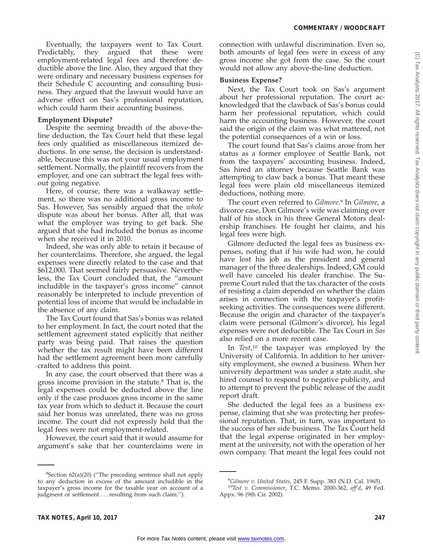Eventually, the taxpayers went to Tax Court. Predictably, they argued that these were employment-related legal fees and therefore deductible above the line. Also, they argued that they were ordinary and necessary business expenses for their Schedule C accounting and consulting business. They argued that the lawsuit would have an adverse effect on Sas's professional reputation, which could harm their accounting business.

#### **Employment Dispute?**

Despite the seeming breadth of the above-theline deduction, the Tax Court held that these legal fees only qualified as miscellaneous itemized deductions. In one sense, the decision is understandable, because this was not your usual employment settlement. Normally, the plaintiff recovers from the employer, and one can subtract the legal fees without going negative.

Here, of course, there was a walkaway settlement, so there was no additional gross income to Sas. However, Sas sensibly argued that the *whole* dispute was about her bonus. After all, that was what the employer was trying to get back. She argued that she had included the bonus as income when she received it in 2010.

Indeed, she was only able to retain it because of her counterclaims. Therefore, she argued, the legal expenses were directly related to the case and that \$612,000. That seemed fairly persuasive. Nevertheless, the Tax Court concluded that, the ''amount includible in the taxpayer's gross income'' cannot reasonably be interpreted to include prevention of potential loss of income that would be includable in the absence of any claim.

The Tax Court found that Sas's bonus was related to her employment. In fact, the court noted that the settlement agreement stated explicitly that neither party was being paid. That raises the question whether the tax result might have been different had the settlement agreement been more carefully crafted to address this point.

In any case, the court observed that there was a gross income provision in the statute.8 That is, the legal expenses could be deducted above the line only if the case produces gross income in the same tax year from which to deduct it. Because the court said her bonus was unrelated, there was no gross income. The court did not expressly hold that the legal fees were not employment-related.

However, the court said that it would assume for argument's sake that her counterclaims were in

 ${}^{8}$ Section 62(a)(20) ("The preceding sentence shall not apply to any deduction in excess of the amount includible in the taxpayer's gross income for the taxable year on account of a judgment or settlement . . . resulting from such claim.").

connection with unlawful discrimination. Even so, both amounts of legal fees were in excess of any gross income she got from the case. So the court would not allow any above-the-line deduction.

#### **Business Expense?**

Next, the Tax Court took on Sas's argument about her professional reputation. The court acknowledged that the clawback of Sas's bonus could harm her professional reputation, which could harm the accounting business. However, the court said the origin of the claim was what mattered, not the potential consequences of a win or loss.

The court found that Sas's claims arose from her status as a former employee of Seattle Bank, not from the taxpayers' accounting business. Indeed, Sas hired an attorney because Seattle Bank was attempting to claw back a bonus. That meant these legal fees were plain old miscellaneous itemized deductions, nothing more.

The court even referred to *Gilmore*. <sup>9</sup> In *Gilmore*, a divorce case, Don Gilmore's wife was claiming over half of his stock in his three General Motors dealership franchises. He fought her claims, and his legal fees were high.

Gilmore deducted the legal fees as business expenses, noting that if his wife had won, he could have lost his job as the president and general manager of the three dealerships. Indeed, GM could well have canceled his dealer franchise. The Supreme Court ruled that the tax character of the costs of resisting a claim depended on whether the claim arises in connection with the taxpayer's profitseeking activities. The consequences were different. Because the origin and character of the taxpayer's claim were personal (Gilmore's divorce), his legal expenses were not deductible. The Tax Court in *Sas* also relied on a more recent case.

In *Test*, <sup>10</sup> the taxpayer was employed by the University of California. In addition to her university employment, she owned a business. When her university department was under a state audit, she hired counsel to respond to negative publicity, and to attempt to prevent the public release of the audit report draft.

She deducted the legal fees as a business expense, claiming that she was protecting her professional reputation. That, in turn, was important to the success of her side business. The Tax Court held that the legal expense originated in her employment at the university, not with the operation of her own company. That meant the legal fees could not

<sup>&</sup>lt;sup>9</sup>Gilmore v. United States, 245 F. Supp. 383 (N.D. Cal. 1965).

<sup>&</sup>lt;sup>10</sup>Test v. Commissioner, T.C. Memo. 2000-362, aff'd, 49 Fed. Appx. 96 (9th Cir. 2002).